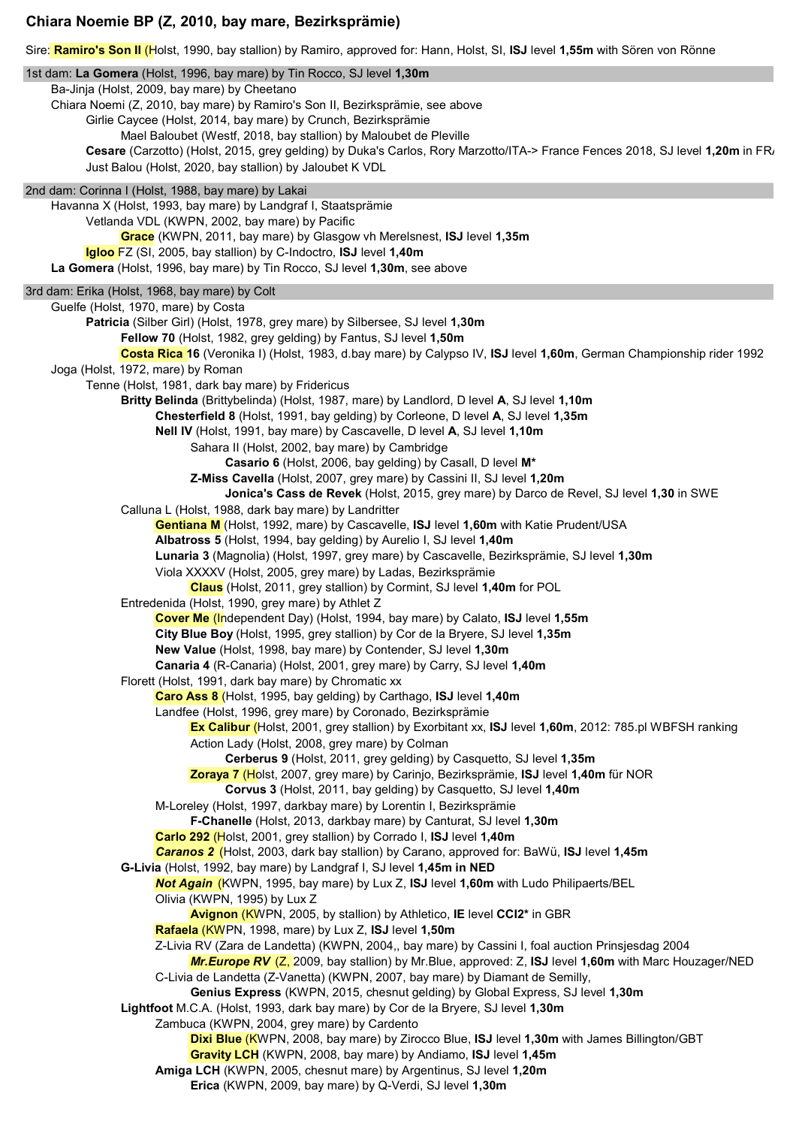## **Chiara Noemie BP (Z, 2010, bay mare, Bezirksprämie)**

Sire: **Ramiro's Son II** (Holst, 1990, bay stallion) by Ramiro, approved for: Hann, Holst, SI, **ISJ** level **1,55m** with Sören von Rönne

1st dam: **La Gomera** (Holst, 1996, bay mare) by Tin Rocco, SJ level **1,30m** Ba-Jinja (Holst, 2009, bay mare) by Cheetano Chiara Noemi (Z, 2010, bay mare) by Ramiro's Son II, Bezirksprämie, see above Girlie Caycee (Holst, 2014, bay mare) by Crunch, Bezirksprämie Mael Baloubet (Westf, 2018, bay stallion) by Maloubet de Pleville **Cesare** (Carzotto) (Holst, 2015, grey gelding) by Duka's Carlos, Rory Marzotto/ITA-> France Fences 2018, SJ level **1,20m** in FRA Just Balou (Holst, 2020, bay stallion) by Jaloubet K VDL 2nd dam: Corinna I (Holst, 1988, bay mare) by Lakai Havanna X (Holst, 1993, bay mare) by Landgraf I, Staatsprämie Vetlanda VDL (KWPN, 2002, bay mare) by Pacific **Grace** (KWPN, 2011, bay mare) by Glasgow vh Merelsnest, **ISJ** level **1,35m Igloo** FZ (SI, 2005, bay stallion) by C-Indoctro, **ISJ** level **1,40m La Gomera** (Holst, 1996, bay mare) by Tin Rocco, SJ level **1,30m**, see above 3rd dam: Erika (Holst, 1968, bay mare) by Colt Guelfe (Holst, 1970, mare) by Costa **Patricia** (Silber Girl) (Holst, 1978, grey mare) by Silbersee, SJ level **1,30m Fellow 70** (Holst, 1982, grey gelding) by Fantus, SJ level **1,50m Costa Rica 16** (Veronika I) (Holst, 1983, d.bay mare) by Calypso IV, **ISJ** level **1,60m**, German Championship rider 1992 Joga (Holst, 1972, mare) by Roman Tenne (Holst, 1981, dark bay mare) by Fridericus **Britty Belinda** (Brittybelinda) (Holst, 1987, mare) by Landlord, D level **A**, SJ level **1,10m Chesterfield 8** (Holst, 1991, bay gelding) by Corleone, D level **A**, SJ level **1,35m Nell IV** (Holst, 1991, bay mare) by Cascavelle, D level **A**, SJ level **1,10m** Sahara II (Holst, 2002, bay mare) by Cambridge **Casario 6** (Holst, 2006, bay gelding) by Casall, D level **M\* Z-Miss Cavella** (Holst, 2007, grey mare) by Cassini II, SJ level **1,20m Jonica's Cass de Revek** (Holst, 2015, grey mare) by Darco de Revel, SJ level **1,30** in SWE Calluna L (Holst, 1988, dark bay mare) by Landritter **Gentiana M** (Holst, 1992, mare) by Cascavelle, **ISJ** level **1,60m** with Katie Prudent/USA **Albatross 5** (Holst, 1994, bay gelding) by Aurelio I, SJ level **1,40m Lunaria 3** (Magnolia) (Holst, 1997, grey mare) by Cascavelle, Bezirksprämie, SJ level **1,30m** Viola XXXXV (Holst, 2005, grey mare) by Ladas, Bezirksprämie **Claus** (Holst, 2011, grey stallion) by Cormint, SJ level **1,40m** for POL Entredenida (Holst, 1990, grey mare) by Athlet Z **Cover Me** (Independent Day) (Holst, 1994, bay mare) by Calato, **ISJ** level **1,55m City Blue Boy** (Holst, 1995, grey stallion) by Cor de la Bryere, SJ level **1,35m New Value** (Holst, 1998, bay mare) by Contender, SJ level **1,30m Canaria 4** (R-Canaria) (Holst, 2001, grey mare) by Carry, SJ level **1,40m** Florett (Holst, 1991, dark bay mare) by Chromatic xx **Caro Ass 8** (Holst, 1995, bay gelding) by Carthago, **ISJ** level **1,40m** Landfee (Holst, 1996, grey mare) by Coronado, Bezirksprämie **Ex Calibur** (Holst, 2001, grey stallion) by Exorbitant xx, **ISJ** level **1,60m**, 2012: 785.pl WBFSH ranking Action Lady (Holst, 2008, grey mare) by Colman **Cerberus 9** (Holst, 2011, grey gelding) by Casquetto, SJ level **1,35m Zoraya 7** (Holst, 2007, grey mare) by Carinjo, Bezirksprämie, **ISJ** level **1,40m** für NOR **Corvus 3** (Holst, 2011, bay gelding) by Casquetto, SJ level **1,40m** M-Loreley (Holst, 1997, darkbay mare) by Lorentin I, Bezirksprämie **F-Chanelle** (Holst, 2013, darkbay mare) by Canturat, SJ level **1,30m Carlo 292** (Holst, 2001, grey stallion) by Corrado I, **ISJ** level **1,40m** *Caranos 2* (Holst, 2003, dark bay stallion) by Carano, approved for: BaWü, **ISJ** level **1,45m G-Livia** (Holst, 1992, bay mare) by Landgraf I, SJ level **1,45m in NED** *Not Again* (KWPN, 1995, bay mare) by Lux Z, **ISJ** level **1,60m** with Ludo Philipaerts/BEL Olivia (KWPN, 1995) by Lux Z **Avignon** (KWPN, 2005, by stallion) by Athletico, **IE** level **CCI2\*** in GBR **Rafaela** (KWPN, 1998, mare) by Lux Z, **ISJ** level **1,50m** Z-Livia RV (Zara de Landetta) (KWPN, 2004,, bay mare) by Cassini I, foal auction Prinsjesdag 2004 *Mr.Europe RV* (Z, 2009, bay stallion) by Mr.Blue, approved: Z, **ISJ** level **1,60m** with Marc Houzager/NED C-Livia de Landetta (Z-Vanetta) (KWPN, 2007, bay mare) by Diamant de Semilly, **Genius Express** (KWPN, 2015, chesnut gelding) by Global Express, SJ level **1,30m Lightfoot** M.C.A. (Holst, 1993, dark bay mare) by Cor de la Bryere, SJ level **1,30m** Zambuca (KWPN, 2004, grey mare) by Cardento **Dixi Blue** (KWPN, 2008, bay mare) by Zirocco Blue, **ISJ** level **1,30m** with James Billington/GBT **Gravity LCH** (KWPN, 2008, bay mare) by Andiamo, **ISJ** level **1,45m Amiga LCH** (KWPN, 2005, chesnut mare) by Argentinus, SJ level **1,20m Erica** (KWPN, 2009, bay mare) by Q-Verdi, SJ level **1,30m**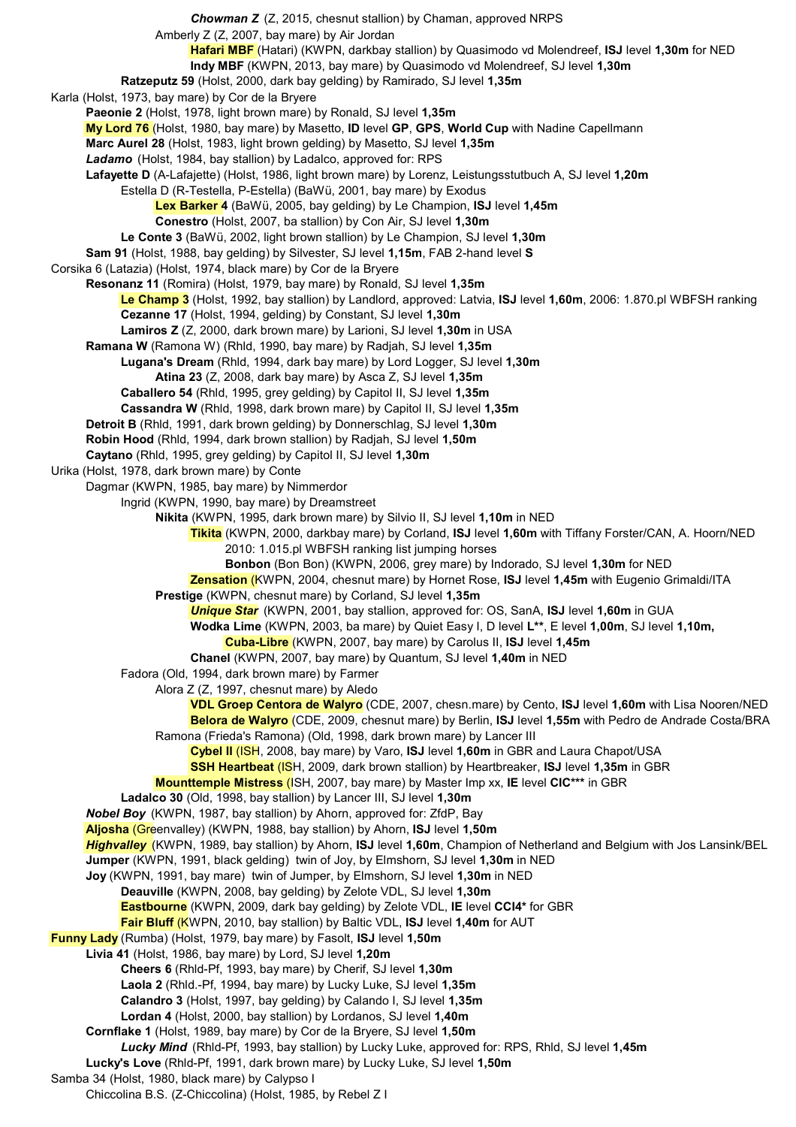*Chowman Z* (Z, 2015, chesnut stallion) by Chaman, approved NRPS Amberly Z (Z, 2007, bay mare) by Air Jordan **Hafari MBF** (Hatari) (KWPN, darkbay stallion) by Quasimodo vd Molendreef, **ISJ** level **1,30m** for NED **Indy MBF** (KWPN, 2013, bay mare) by Quasimodo vd Molendreef, SJ level **1,30m Ratzeputz 59** (Holst, 2000, dark bay gelding) by Ramirado, SJ level **1,35m** Karla (Holst, 1973, bay mare) by Cor de la Bryere **Paeonie 2** (Holst, 1978, light brown mare) by Ronald, SJ level **1,35m My Lord 76** (Holst, 1980, bay mare) by Masetto, **ID** level **GP**, **GPS**, **World Cup** with Nadine Capellmann **Marc Aurel 28** (Holst, 1983, light brown gelding) by Masetto, SJ level **1,35m** *Ladamo* (Holst, 1984, bay stallion) by Ladalco, approved for: RPS **Lafayette D** (A-Lafajette) (Holst, 1986, light brown mare) by Lorenz, Leistungsstutbuch A, SJ level **1,20m** Estella D (R-Testella, P-Estella) (BaWü, 2001, bay mare) by Exodus **Lex Barker 4** (BaWü, 2005, bay gelding) by Le Champion, **ISJ** level **1,45m Conestro** (Holst, 2007, ba stallion) by Con Air, SJ level **1,30m Le Conte 3** (BaWü, 2002, light brown stallion) by Le Champion, SJ level **1,30m Sam 91** (Holst, 1988, bay gelding) by Silvester, SJ level **1,15m**, FAB 2-hand level **S** Corsika 6 (Latazia) (Holst, 1974, black mare) by Cor de la Bryere **Resonanz 11** (Romira) (Holst, 1979, bay mare) by Ronald, SJ level **1,35m Le Champ 3** (Holst, 1992, bay stallion) by Landlord, approved: Latvia, **ISJ** level **1,60m**, 2006: 1.870.pl WBFSH ranking **Cezanne 17** (Holst, 1994, gelding) by Constant, SJ level **1,30m Lamiros Z** (Z, 2000, dark brown mare) by Larioni, SJ level **1,30m** in USA **Ramana W** (Ramona W) (Rhld, 1990, bay mare) by Radjah, SJ level **1,35m Lugana's Dream** (Rhld, 1994, dark bay mare) by Lord Logger, SJ level **1,30m Atina 23** (Z, 2008, dark bay mare) by Asca Z, SJ level **1,35m Caballero 54** (Rhld, 1995, grey gelding) by Capitol II, SJ level **1,35m Cassandra W** (Rhld, 1998, dark brown mare) by Capitol II, SJ level **1,35m Detroit B** (Rhld, 1991, dark brown gelding) by Donnerschlag, SJ level **1,30m Robin Hood** (Rhld, 1994, dark brown stallion) by Radjah, SJ level **1,50m Caytano** (Rhld, 1995, grey gelding) by Capitol II, SJ level **1,30m** Urika (Holst, 1978, dark brown mare) by Conte Dagmar (KWPN, 1985, bay mare) by Nimmerdor Ingrid (KWPN, 1990, bay mare) by Dreamstreet **Nikita** (KWPN, 1995, dark brown mare) by Silvio II, SJ level **1,10m** in NED **Tikita** (KWPN, 2000, darkbay mare) by Corland, **ISJ** level **1,60m** with Tiffany Forster/CAN, A. Hoorn/NED 2010: 1.015.pl WBFSH ranking list jumping horses **Bonbon** (Bon Bon) (KWPN, 2006, grey mare) by Indorado, SJ level **1,30m** for NED **Zensation** (KWPN, 2004, chesnut mare) by Hornet Rose, **ISJ** level **1,45m** with Eugenio Grimaldi/ITA **Prestige** (KWPN, chesnut mare) by Corland, SJ level **1,35m** *Unique Star* (KWPN, 2001, bay stallion, approved for: OS, SanA, **ISJ** level **1,60m** in GUA **Wodka Lime** (KWPN, 2003, ba mare) by Quiet Easy I, D level **L\*\***, E level **1,00m**, SJ level **1,10m, Cuba-Libre** (KWPN, 2007, bay mare) by Carolus II, **ISJ** level **1,45m Chanel** (KWPN, 2007, bay mare) by Quantum, SJ level **1,40m** in NED Fadora (Old, 1994, dark brown mare) by Farmer Alora Z (Z, 1997, chesnut mare) by Aledo **VDL Groep Centora de Walyro** (CDE, 2007, chesn.mare) by Cento, **ISJ** level **1,60m** with Lisa Nooren/NED **Belora de Walyro** (CDE, 2009, chesnut mare) by Berlin, **ISJ** level **1,55m** with Pedro de Andrade Costa/BRA Ramona (Frieda's Ramona) (Old, 1998, dark brown mare) by Lancer III **Cybel II** (ISH, 2008, bay mare) by Varo, **ISJ** level **1,60m** in GBR and Laura Chapot/USA **SSH Heartbeat** (ISH, 2009, dark brown stallion) by Heartbreaker, **ISJ** level **1,35m** in GBR **Mounttemple Mistress** (ISH, 2007, bay mare) by Master Imp xx, **IE** level **CIC\*\*\*** in GBR **Ladalco 30** (Old, 1998, bay stallion) by Lancer III, SJ level **1,30m** *Nobel Boy* (KWPN, 1987, bay stallion) by Ahorn, approved for: ZfdP, Bay **Aljosha** (Greenvalley) (KWPN, 1988, bay stallion) by Ahorn, **ISJ** level **1,50m** *Highvalley* (KWPN, 1989, bay stallion) by Ahorn, **ISJ** level **1,60m**, Champion of Netherland and Belgium with Jos Lansink/BEL **Jumper** (KWPN, 1991, black gelding) twin of Joy, by Elmshorn, SJ level **1,30m** in NED **Joy** (KWPN, 1991, bay mare) twin of Jumper, by Elmshorn, SJ level **1,30m** in NED **Deauville** (KWPN, 2008, bay gelding) by Zelote VDL, SJ level **1,30m Eastbourne** (KWPN, 2009, dark bay gelding) by Zelote VDL, **IE** level **CCI4\*** for GBR **Fair Bluff** (KWPN, 2010, bay stallion) by Baltic VDL, **ISJ** level **1,40m** for AUT **Funny Lady** (Rumba) (Holst, 1979, bay mare) by Fasolt, **ISJ** level **1,50m Livia 41** (Holst, 1986, bay mare) by Lord, SJ level **1,20m Cheers 6** (Rhld-Pf, 1993, bay mare) by Cherif, SJ level **1,30m Laola 2** (Rhld.-Pf, 1994, bay mare) by Lucky Luke, SJ level **1,35m Calandro 3** (Holst, 1997, bay gelding) by Calando I, SJ level **1,35m Lordan 4** (Holst, 2000, bay stallion) by Lordanos, SJ level **1,40m Cornflake 1** (Holst, 1989, bay mare) by Cor de la Bryere, SJ level **1,50m** *Lucky Mind* (Rhld-Pf, 1993, bay stallion) by Lucky Luke, approved for: RPS, Rhld, SJ level **1,45m Lucky's Love** (Rhld-Pf, 1991, dark brown mare) by Lucky Luke, SJ level **1,50m** Samba 34 (Holst, 1980, black mare) by Calypso I Chiccolina B.S. (Z-Chiccolina) (Holst, 1985, by Rebel Z I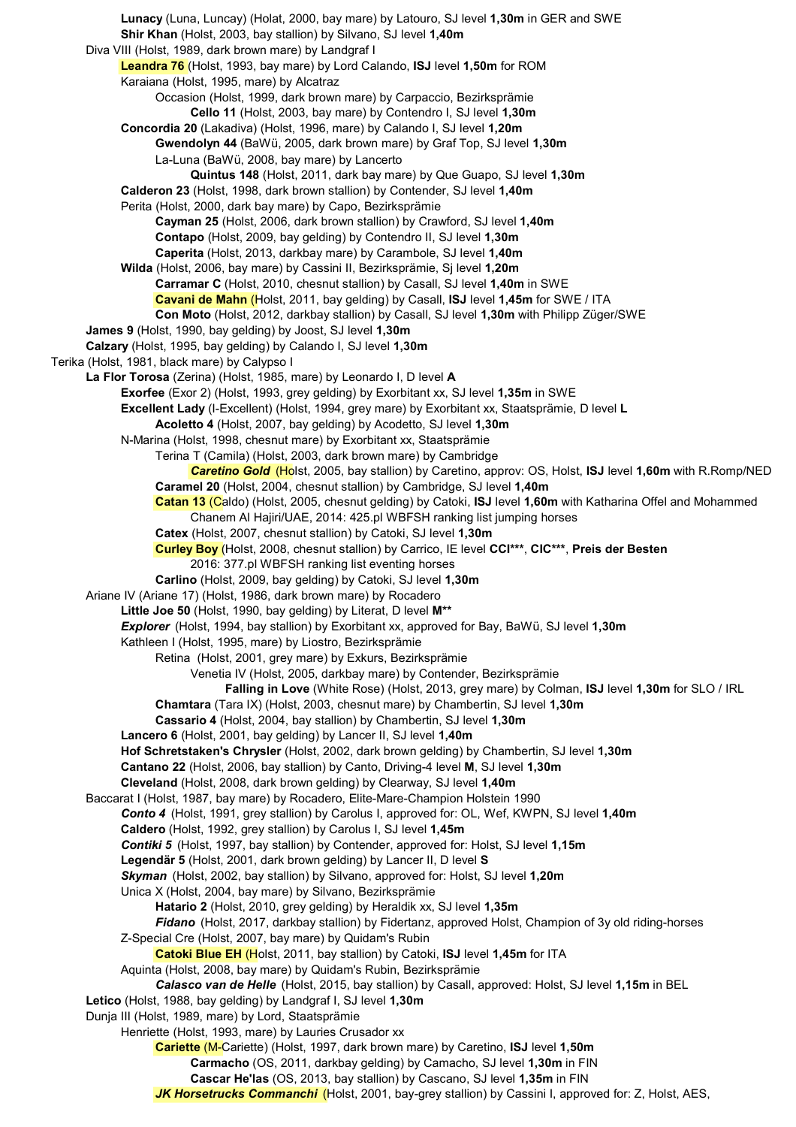**Lunacy** (Luna, Luncay) (Holat, 2000, bay mare) by Latouro, SJ level **1,30m** in GER and SWE **Shir Khan** (Holst, 2003, bay stallion) by Silvano, SJ level **1,40m** Diva VIII (Holst, 1989, dark brown mare) by Landgraf I **Leandra 76** (Holst, 1993, bay mare) by Lord Calando, **ISJ** level **1,50m** for ROM Karaiana (Holst, 1995, mare) by Alcatraz Occasion (Holst, 1999, dark brown mare) by Carpaccio, Bezirksprämie **Cello 11** (Holst, 2003, bay mare) by Contendro I, SJ level **1,30m Concordia 20** (Lakadiva) (Holst, 1996, mare) by Calando I, SJ level **1,20m Gwendolyn 44** (BaWü, 2005, dark brown mare) by Graf Top, SJ level **1,30m** La-Luna (BaWü, 2008, bay mare) by Lancerto **Quintus 148** (Holst, 2011, dark bay mare) by Que Guapo, SJ level **1,30m Calderon 23** (Holst, 1998, dark brown stallion) by Contender, SJ level **1,40m** Perita (Holst, 2000, dark bay mare) by Capo, Bezirksprämie **Cayman 25** (Holst, 2006, dark brown stallion) by Crawford, SJ level **1,40m Contapo** (Holst, 2009, bay gelding) by Contendro II, SJ level **1,30m Caperita** (Holst, 2013, darkbay mare) by Carambole, SJ level **1,40m Wilda** (Holst, 2006, bay mare) by Cassini II, Bezirksprämie, Sj level **1,20m Carramar C** (Holst, 2010, chesnut stallion) by Casall, SJ level **1,40m** in SWE **Cavani de Mahn** (Holst, 2011, bay gelding) by Casall, **ISJ** level **1,45m** for SWE / ITA **Con Moto** (Holst, 2012, darkbay stallion) by Casall, SJ level **1,30m** with Philipp Züger/SWE **James 9** (Holst, 1990, bay gelding) by Joost, SJ level **1,30m Calzary** (Holst, 1995, bay gelding) by Calando I, SJ level **1,30m** Terika (Holst, 1981, black mare) by Calypso I **La Flor Torosa** (Zerina) (Holst, 1985, mare) by Leonardo I, D level **A Exorfee** (Exor 2) (Holst, 1993, grey gelding) by Exorbitant xx, SJ level **1,35m** in SWE **Excellent Lady** (I-Excellent) (Holst, 1994, grey mare) by Exorbitant xx, Staatsprämie, D level **L Acoletto 4** (Holst, 2007, bay gelding) by Acodetto, SJ level **1,30m** N-Marina (Holst, 1998, chesnut mare) by Exorbitant xx, Staatsprämie Terina T (Camila) (Holst, 2003, dark brown mare) by Cambridge *Caretino Gold* (Holst, 2005, bay stallion) by Caretino, approv: OS, Holst, **ISJ** level **1,60m** with R.Romp/NED **Caramel 20** (Holst, 2004, chesnut stallion) by Cambridge, SJ level **1,40m Catan 13** (Caldo) (Holst, 2005, chesnut gelding) by Catoki, **ISJ** level **1,60m** with Katharina Offel and Mohammed Chanem Al Hajiri/UAE, 2014: 425.pl WBFSH ranking list jumping horses **Catex** (Holst, 2007, chesnut stallion) by Catoki, SJ level **1,30m Curley Boy** (Holst, 2008, chesnut stallion) by Carrico, IE level **CCI\*\*\***, **CIC\*\*\***, **Preis der Besten** 2016: 377.pl WBFSH ranking list eventing horses **Carlino** (Holst, 2009, bay gelding) by Catoki, SJ level **1,30m** Ariane IV (Ariane 17) (Holst, 1986, dark brown mare) by Rocadero **Little Joe 50** (Holst, 1990, bay gelding) by Literat, D level **M\*\*** *Explorer* (Holst, 1994, bay stallion) by Exorbitant xx, approved for Bay, BaWü, SJ level **1,30m** Kathleen I (Holst, 1995, mare) by Liostro, Bezirksprämie Retina (Holst, 2001, grey mare) by Exkurs, Bezirksprämie Venetia IV (Holst, 2005, darkbay mare) by Contender, Bezirksprämie **Falling in Love** (White Rose) (Holst, 2013, grey mare) by Colman, **ISJ** level **1,30m** for SLO / IRL **Chamtara** (Tara IX) (Holst, 2003, chesnut mare) by Chambertin, SJ level **1,30m Cassario 4** (Holst, 2004, bay stallion) by Chambertin, SJ level **1,30m Lancero 6** (Holst, 2001, bay gelding) by Lancer II, SJ level **1,40m Hof Schretstaken's Chrysler** (Holst, 2002, dark brown gelding) by Chambertin, SJ level **1,30m Cantano 22** (Holst, 2006, bay stallion) by Canto, Driving-4 level **M**, SJ level **1,30m Cleveland** (Holst, 2008, dark brown gelding) by Clearway, SJ level **1,40m** Baccarat I (Holst, 1987, bay mare) by Rocadero, Elite-Mare-Champion Holstein 1990 *Conto 4* (Holst, 1991, grey stallion) by Carolus I, approved for: OL, Wef, KWPN, SJ level **1,40m Caldero** (Holst, 1992, grey stallion) by Carolus I, SJ level **1,45m** *Contiki 5* (Holst, 1997, bay stallion) by Contender, approved for: Holst, SJ level **1,15m Legendär 5** (Holst, 2001, dark brown gelding) by Lancer II, D level **S** *Skyman* (Holst, 2002, bay stallion) by Silvano, approved for: Holst, SJ level **1,20m** Unica X (Holst, 2004, bay mare) by Silvano, Bezirksprämie **Hatario 2** (Holst, 2010, grey gelding) by Heraldik xx, SJ level **1,35m** *Fidano* (Holst, 2017, darkbay stallion) by Fidertanz, approved Holst, Champion of 3y old riding-horses Z-Special Cre (Holst, 2007, bay mare) by Quidam's Rubin **Catoki Blue EH** (Holst, 2011, bay stallion) by Catoki, **ISJ** level **1,45m** for ITA Aquinta (Holst, 2008, bay mare) by Quidam's Rubin, Bezirksprämie *Calasco van de Helle* (Holst, 2015, bay stallion) by Casall, approved: Holst, SJ level **1,15m** in BEL **Letico** (Holst, 1988, bay gelding) by Landgraf I, SJ level **1,30m** Dunja III (Holst, 1989, mare) by Lord, Staatsprämie Henriette (Holst, 1993, mare) by Lauries Crusador xx **Cariette** (M-Cariette) (Holst, 1997, dark brown mare) by Caretino, **ISJ** level **1,50m Carmacho** (OS, 2011, darkbay gelding) by Camacho, SJ level **1,30m** in FIN **Cascar He'las** (OS, 2013, bay stallion) by Cascano, SJ level **1,35m** in FIN *JK Horsetrucks Commanchi* (Holst, 2001, bay-grey stallion) by Cassini I, approved for: Z, Holst, AES,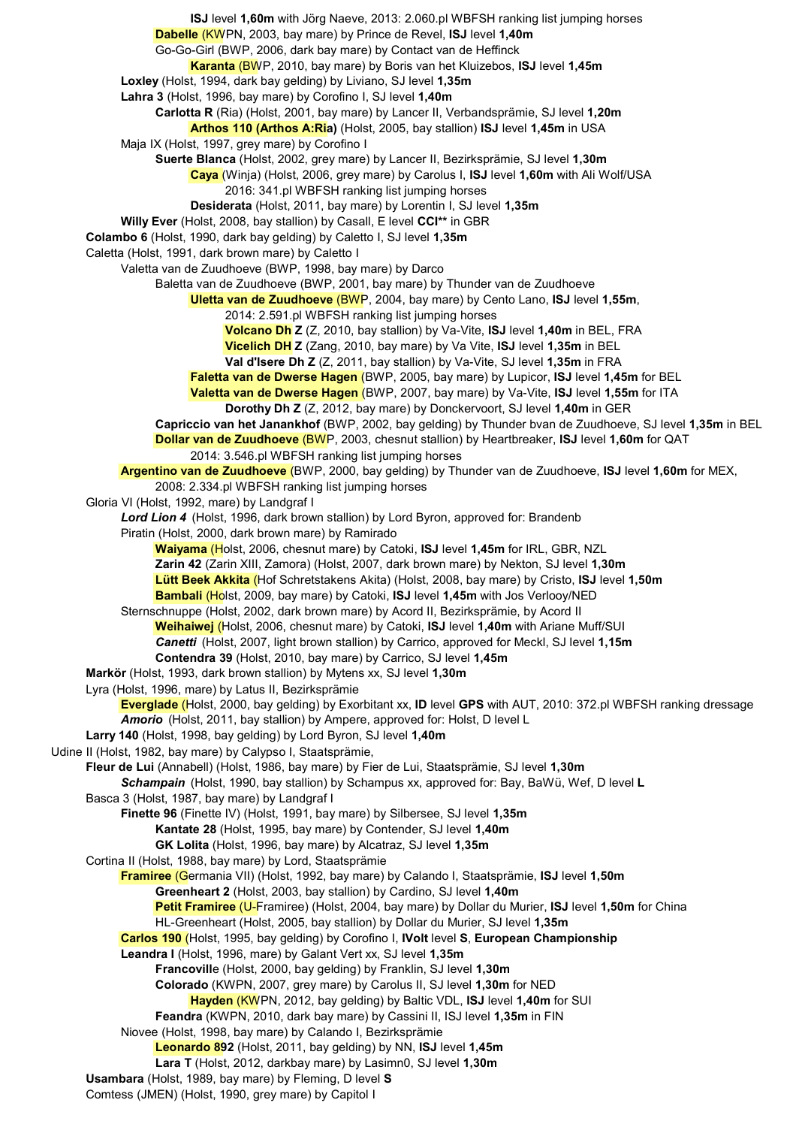**ISJ** level **1,60m** with Jörg Naeve, 2013: 2.060.pl WBFSH ranking list jumping horses **Dabelle** (KWPN, 2003, bay mare) by Prince de Revel, **ISJ** level **1,40m** Go-Go-Girl (BWP, 2006, dark bay mare) by Contact van de Heffinck **Karanta** (BWP, 2010, bay mare) by Boris van het Kluizebos, **ISJ** level **1,45m Loxley** (Holst, 1994, dark bay gelding) by Liviano, SJ level **1,35m Lahra 3** (Holst, 1996, bay mare) by Corofino I, SJ level **1,40m Carlotta R** (Ria) (Holst, 2001, bay mare) by Lancer II, Verbandsprämie, SJ level **1,20m Arthos 110 (Arthos A:Ria)** (Holst, 2005, bay stallion) **ISJ** level **1,45m** in USA Maja IX (Holst, 1997, grey mare) by Corofino I **Suerte Blanca** (Holst, 2002, grey mare) by Lancer II, Bezirksprämie, SJ level **1,30m Caya** (Winja) (Holst, 2006, grey mare) by Carolus I, **ISJ** level **1,60m** with Ali Wolf/USA 2016: 341.pl WBFSH ranking list jumping horses **Desiderata** (Holst, 2011, bay mare) by Lorentin I, SJ level **1,35m Willy Ever** (Holst, 2008, bay stallion) by Casall, E level **CCI\*\*** in GBR **Colambo 6** (Holst, 1990, dark bay gelding) by Caletto I, SJ level **1,35m** Caletta (Holst, 1991, dark brown mare) by Caletto I Valetta van de Zuudhoeve (BWP, 1998, bay mare) by Darco Baletta van de Zuudhoeve (BWP, 2001, bay mare) by Thunder van de Zuudhoeve **Uletta van de Zuudhoeve** (BWP, 2004, bay mare) by Cento Lano, **ISJ** level **1,55m**, 2014: 2.591.pl WBFSH ranking list jumping horses **Volcano Dh Z** (Z, 2010, bay stallion) by Va-Vite, **ISJ** level **1,40m** in BEL, FRA **Vicelich DH Z** (Zang, 2010, bay mare) by Va Vite, **ISJ** level **1,35m** in BEL **Val d'Isere Dh Z** (Z, 2011, bay stallion) by Va-Vite, SJ level **1,35m** in FRA **Faletta van de Dwerse Hagen** (BWP, 2005, bay mare) by Lupicor, **ISJ** level **1,45m** for BEL **Valetta van de Dwerse Hagen** (BWP, 2007, bay mare) by Va-Vite, **ISJ** level **1,55m** for ITA **Dorothy Dh Z** (Z, 2012, bay mare) by Donckervoort, SJ level **1,40m** in GER **Capriccio van het Janankhof** (BWP, 2002, bay gelding) by Thunder bvan de Zuudhoeve, SJ level **1,35m** in BEL **Dollar van de Zuudhoeve** (BWP, 2003, chesnut stallion) by Heartbreaker, **ISJ** level **1,60m** for QAT 2014: 3.546.pl WBFSH ranking list jumping horses **Argentino van de Zuudhoeve** (BWP, 2000, bay gelding) by Thunder van de Zuudhoeve, **ISJ** level **1,60m** for MEX, 2008: 2.334.pl WBFSH ranking list jumping horses Gloria VI (Holst, 1992, mare) by Landgraf I *Lord Lion 4* (Holst, 1996, dark brown stallion) by Lord Byron, approved for: Brandenb Piratin (Holst, 2000, dark brown mare) by Ramirado **Waiyama** (Holst, 2006, chesnut mare) by Catoki, **ISJ** level **1,45m** for IRL, GBR, NZL **Zarin 42** (Zarin XIII, Zamora) (Holst, 2007, dark brown mare) by Nekton, SJ level **1,30m Lütt Beek Akkita** (Hof Schretstakens Akita) (Holst, 2008, bay mare) by Cristo, **ISJ** level **1,50m Bambali** (Holst, 2009, bay mare) by Catoki, **ISJ** level **1,45m** with Jos Verlooy/NED Sternschnuppe (Holst, 2002, dark brown mare) by Acord II, Bezirksprämie, by Acord II **Weihaiwej** (Holst, 2006, chesnut mare) by Catoki, **ISJ** level **1,40m** with Ariane Muff/SUI *Canetti* (Holst, 2007, light brown stallion) by Carrico, approved for Meckl, SJ level **1,15m Contendra 39** (Holst, 2010, bay mare) by Carrico, SJ level **1,45m Markör** (Holst, 1993, dark brown stallion) by Mytens xx, SJ level **1,30m** Lyra (Holst, 1996, mare) by Latus II, Bezirksprämie **Everglade** (Holst, 2000, bay gelding) by Exorbitant xx, **ID** level **GPS** with AUT, 2010: 372.pl WBFSH ranking dressage *Amorio* (Holst, 2011, bay stallion) by Ampere, approved for: Holst, D level L **Larry 140** (Holst, 1998, bay gelding) by Lord Byron, SJ level **1,40m** Udine II (Holst, 1982, bay mare) by Calypso I, Staatsprämie, **Fleur de Lui** (Annabell) (Holst, 1986, bay mare) by Fier de Lui, Staatsprämie, SJ level **1,30m** *Schampain* (Holst, 1990, bay stallion) by Schampus xx, approved for: Bay, BaWü, Wef, D level **L** Basca 3 (Holst, 1987, bay mare) by Landgraf I **Finette 96** (Finette IV) (Holst, 1991, bay mare) by Silbersee, SJ level **1,35m Kantate 28** (Holst, 1995, bay mare) by Contender, SJ level **1,40m GK Lolita** (Holst, 1996, bay mare) by Alcatraz, SJ level **1,35m** Cortina II (Holst, 1988, bay mare) by Lord, Staatsprämie **Framiree** (Germania VII) (Holst, 1992, bay mare) by Calando I, Staatsprämie, **ISJ** level **1,50m Greenheart 2** (Holst, 2003, bay stallion) by Cardino, SJ level **1,40m Petit Framiree** (U-Framiree) (Holst, 2004, bay mare) by Dollar du Murier, **ISJ** level **1,50m** for China HL-Greenheart (Holst, 2005, bay stallion) by Dollar du Murier, SJ level **1,35m Carlos 190** (Holst, 1995, bay gelding) by Corofino I, **IVolt** level **S**, **European Championship Leandra I** (Holst, 1996, mare) by Galant Vert xx, SJ level **1,35m Francovill**e (Holst, 2000, bay gelding) by Franklin, SJ level **1,30m Colorado** (KWPN, 2007, grey mare) by Carolus II, SJ level **1,30m** for NED **Hayden** (KWPN, 2012, bay gelding) by Baltic VDL, **ISJ** level **1,40m** for SUI **Feandra** (KWPN, 2010, dark bay mare) by Cassini II, ISJ level **1,35m** in FIN Niovee (Holst, 1998, bay mare) by Calando I, Bezirksprämie **Leonardo 892** (Holst, 2011, bay gelding) by NN, **ISJ** level **1,45m Lara T** (Holst, 2012, darkbay mare) by Lasimn0, SJ level **1,30m Usambara** (Holst, 1989, bay mare) by Fleming, D level **S** Comtess (JMEN) (Holst, 1990, grey mare) by Capitol I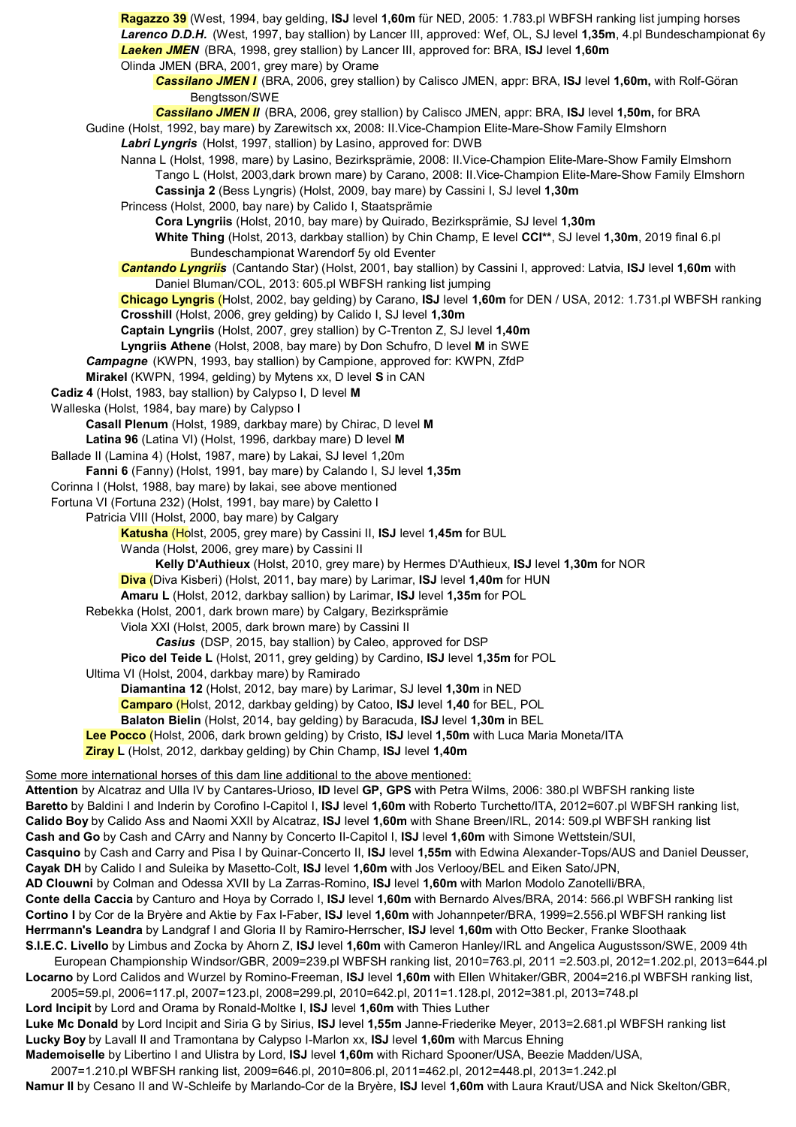**Ragazzo 39** (West, 1994, bay gelding, **ISJ** level **1,60m** für NED, 2005: 1.783.pl WBFSH ranking list jumping horses *Larenco D.D.H.* (West, 1997, bay stallion) by Lancer III, approved: Wef, OL, SJ level **1,35m**, 4.pl Bundeschampionat 6y *Laeken JMEN* (BRA, 1998, grey stallion) by Lancer III, approved for: BRA, **ISJ** level **1,60m** Olinda JMEN (BRA, 2001, grey mare) by Orame *Cassilano JMEN I* (BRA, 2006, grey stallion) by Calisco JMEN, appr: BRA, **ISJ** level **1,60m,** with Rolf-Göran Bengtsson/SWE *Cassilano JMEN II* (BRA, 2006, grey stallion) by Calisco JMEN, appr: BRA, **ISJ** level **1,50m,** for BRA Gudine (Holst, 1992, bay mare) by Zarewitsch xx, 2008: II.Vice-Champion Elite-Mare-Show Family Elmshorn *Labri Lyngris* (Holst, 1997, stallion) by Lasino, approved for: DWB Nanna L (Holst, 1998, mare) by Lasino, Bezirksprämie, 2008: II.Vice-Champion Elite-Mare-Show Family Elmshorn Tango L (Holst, 2003,dark brown mare) by Carano, 2008: II.Vice-Champion Elite-Mare-Show Family Elmshorn **Cassinja 2** (Bess Lyngris) (Holst, 2009, bay mare) by Cassini I, SJ level **1,30m** Princess (Holst, 2000, bay nare) by Calido I, Staatsprämie **Cora Lyngriis** (Holst, 2010, bay mare) by Quirado, Bezirksprämie, SJ level **1,30m White Thing** (Holst, 2013, darkbay stallion) by Chin Champ, E level **CCI\*\***, SJ level **1,30m**, 2019 final 6.pl Bundeschampionat Warendorf 5y old Eventer *Cantando Lyngriis* (Cantando Star) (Holst, 2001, bay stallion) by Cassini I, approved: Latvia, **ISJ** level **1,60m** with Daniel Bluman/COL, 2013: 605.pl WBFSH ranking list jumping **Chicago Lyngris** (Holst, 2002, bay gelding) by Carano, **ISJ** level **1,60m** for DEN / USA, 2012: 1.731.pl WBFSH ranking **Crosshill** (Holst, 2006, grey gelding) by Calido I, SJ level **1,30m Captain Lyngriis** (Holst, 2007, grey stallion) by C-Trenton Z, SJ level **1,40m Lyngriis Athene** (Holst, 2008, bay mare) by Don Schufro, D level **M** in SWE *Campagne* (KWPN, 1993, bay stallion) by Campione, approved for: KWPN, ZfdP **Mirakel** (KWPN, 1994, gelding) by Mytens xx, D level **S** in CAN **Cadiz 4** (Holst, 1983, bay stallion) by Calypso I, D level **M** Walleska (Holst, 1984, bay mare) by Calypso I **Casall Plenum** (Holst, 1989, darkbay mare) by Chirac, D level **M Latina 96** (Latina VI) (Holst, 1996, darkbay mare) D level **M** Ballade II (Lamina 4) (Holst, 1987, mare) by Lakai, SJ level 1,20m **Fanni 6** (Fanny) (Holst, 1991, bay mare) by Calando I, SJ level **1,35m** Corinna I (Holst, 1988, bay mare) by lakai, see above mentioned Fortuna VI (Fortuna 232) (Holst, 1991, bay mare) by Caletto I Patricia VIII (Holst, 2000, bay mare) by Calgary **Katusha** (Holst, 2005, grey mare) by Cassini II, **ISJ** level **1,45m** for BUL Wanda (Holst, 2006, grey mare) by Cassini II **Kelly D'Authieux** (Holst, 2010, grey mare) by Hermes D'Authieux, **ISJ** level **1,30m** for NOR **Diva** (Diva Kisberi) (Holst, 2011, bay mare) by Larimar, **ISJ** level **1,40m** for HUN **Amaru L** (Holst, 2012, darkbay sallion) by Larimar, **ISJ** level **1,35m** for POL Rebekka (Holst, 2001, dark brown mare) by Calgary, Bezirksprämie Viola XXI (Holst, 2005, dark brown mare) by Cassini II *Casius* (DSP, 2015, bay stallion) by Caleo, approved for DSP **Pico del Teide L** (Holst, 2011, grey gelding) by Cardino, **ISJ** level **1,35m** for POL Ultima VI (Holst, 2004, darkbay mare) by Ramirado **Diamantina 12** (Holst, 2012, bay mare) by Larimar, SJ level **1,30m** in NED **Camparo** (Holst, 2012, darkbay gelding) by Catoo, **ISJ** level **1,40** for BEL, POL **Balaton Bielin** (Holst, 2014, bay gelding) by Baracuda, **ISJ** level **1,30m** in BEL **Lee Pocco** (Holst, 2006, dark brown gelding) by Cristo, **ISJ** level **1,50m** with Luca Maria Moneta/ITA **Ziray L** (Holst, 2012, darkbay gelding) by Chin Champ, **ISJ** level **1,40m** 

Some more international horses of this dam line additional to the above mentioned:

**Attention** by Alcatraz and Ulla IV by Cantares-Urioso, **ID** level **GP, GPS** with Petra Wilms, 2006: 380.pl WBFSH ranking liste **Baretto** by Baldini I and Inderin by Corofino I-Capitol I, **ISJ** level **1,60m** with Roberto Turchetto/ITA, 2012=607.pl WBFSH ranking list, **Calido Boy** by Calido Ass and Naomi XXII by Alcatraz, **ISJ** level **1,60m** with Shane Breen/IRL, 2014: 509.pl WBFSH ranking list **Cash and Go** by Cash and CArry and Nanny by Concerto II-Capitol I, **ISJ** level **1,60m** with Simone Wettstein/SUI, **Casquino** by Cash and Carry and Pisa I by Quinar-Concerto II, **ISJ** level **1,55m** with Edwina Alexander-Tops/AUS and Daniel Deusser, **Cayak DH** by Calido I and Suleika by Masetto-Colt, **ISJ** level **1,60m** with Jos Verlooy/BEL and Eiken Sato/JPN, **AD Clouwni** by Colman and Odessa XVII by La Zarras-Romino, **ISJ** level **1,60m** with Marlon Modolo Zanotelli/BRA, **Conte della Caccia** by Canturo and Hoya by Corrado I, **ISJ** level **1,60m** with Bernardo Alves/BRA, 2014: 566.pl WBFSH ranking list **Cortino I** by Cor de la Bryère and Aktie by Fax I-Faber, **ISJ** level **1,60m** with Johannpeter/BRA, 1999=2.556.pl WBFSH ranking list **Herrmann's Leandra** by Landgraf I and Gloria II by Ramiro-Herrscher, **ISJ** level **1,60m** with Otto Becker, Franke Sloothaak **S.I.E.C. Livello** by Limbus and Zocka by Ahorn Z, **ISJ** level **1,60m** with Cameron Hanley/IRL and Angelica Augustsson/SWE, 2009 4th European Championship Windsor/GBR, 2009=239.pl WBFSH ranking list, 2010=763.pl, 2011 =2.503.pl, 2012=1.202.pl, 2013=644.pl

**Locarno** by Lord Calidos and Wurzel by Romino-Freeman, **ISJ** level **1,60m** with Ellen Whitaker/GBR, 2004=216.pl WBFSH ranking list, 2005=59.pl, 2006=117.pl, 2007=123.pl, 2008=299.pl, 2010=642.pl, 2011=1.128.pl, 2012=381.pl, 2013=748.pl

**Lord Incipit** by Lord and Orama by Ronald-Moltke I, **ISJ** level **1,60m** with Thies Luther **Luke Mc Donald** by Lord Incipit and Siria G by Sirius, **ISJ** level **1,55m** Janne-Friederike Meyer, 2013=2.681.pl WBFSH ranking list **Lucky Boy** by Lavall II and Tramontana by Calypso I-Marlon xx, **ISJ** level **1,60m** with Marcus Ehning **Mademoiselle** by Libertino I and Ulistra by Lord, **ISJ** level **1,60m** with Richard Spooner/USA, Beezie Madden/USA,

2007=1.210.pl WBFSH ranking list, 2009=646.pl, 2010=806.pl, 2011=462.pl, 2012=448.pl, 2013=1.242.pl **Namur II** by Cesano II and W-Schleife by Marlando-Cor de la Bryère, **ISJ** level **1,60m** with Laura Kraut/USA and Nick Skelton/GBR,